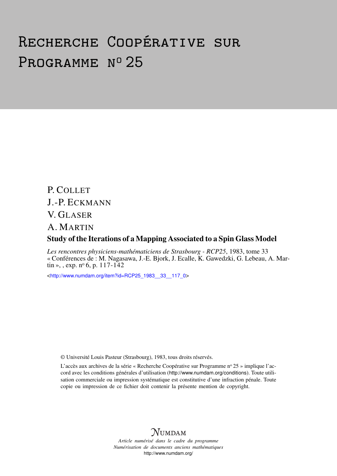# Recherche Coopérative sur PROGRAMME Nº 25

P. COLLET J.-P. ECKMANN V. GLASER A. MARTIN Study of the Iterations of a Mapping Associated to a Spin Glass Model

*Les rencontres physiciens-mathématiciens de Strasbourg - RCP25*, 1983, tome 33 « Conférences de : M. Nagasawa, J.-E. Bjork, J. Ecalle, K. Gawedzki, G. Lebeau, A. Martin », , exp.  $n^{\circ}$  6, p. 117-142

<[http://www.numdam.org/item?id=RCP25\\_1983\\_\\_33\\_\\_117\\_0](http://www.numdam.org/item?id=RCP25_1983__33__117_0)>

© Université Louis Pasteur (Strasbourg), 1983, tous droits réservés.

L'accès aux archives de la série « Recherche Coopérative sur Programme n° 25 » implique l'accord avec les conditions générales d'utilisation (<http://www.numdam.org/conditions>). Toute utilisation commerciale ou impression systématique est constitutive d'une infraction pénale. Toute copie ou impression de ce fichier doit contenir la présente mention de copyright.



*Article numérisé dans le cadre du programme Numérisation de documents anciens mathématiques* <http://www.numdam.org/>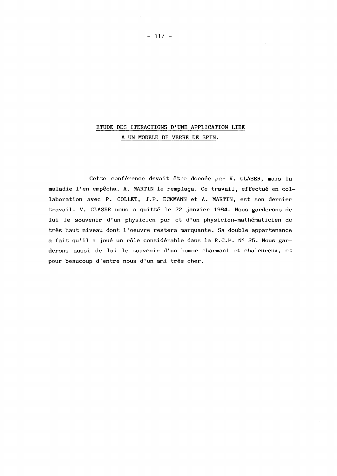# **ETUDE DES ITERACTIONS D'UNE APPLICATION LIEE A UN MODELE DE VERRE DE SPIN,**

**Cette conférence devait être donnée par V. GLASER, mais la maladie l'en empêcha. A. MARTIN le remplaça. Ce travail, effectué en collaboration avec P. COLLET, J.P. ECKMANN et A. MARTIN, est son dernier travail. V. GLASER nous a quitté le 22 janvier 1984. Nous garderons de lui le souvenir d'un physicien pur et d'un physicien-mathématicien de très haut niveau dont l'oeuvre restera marquante. Sa double appartenance a fait qu'il a joué un rôle considérable dans la R.C.P. N° 25. Nous garderons aussi de lui le souvenir d'un homme charmant et chaleureux, et pour beaucoup d'entre nous d'un ami très cher.**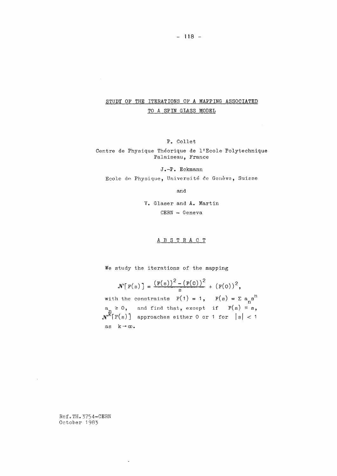# STUDY OF THE ITERATIONS OF A MAPPING ASSOCIATED TO A SPIN GLASS MODEL

Pc Collet

Centre de Physique Théorique de l1Ecole Polytechnique Palaiseau, France

J.-P. Eckmann Ecole de Physique, Université de Genève, Suisse

and

V· Glaser and A. Martin CERN - Geneva

ABSTRAC T

We study the iterations of the mapping

$$
\mathcal{N}\big[\mathbf{F}(s)\big] = \frac{(\mathbf{F}(s))^2 - (\mathbf{F}(0))^2}{s} + (\mathbf{F}(0))^2,
$$
\nwith the constraints  $\mathbf{F}(1) = 1$ ,  $\mathbf{F}(s) = \Sigma a_n s^n$   
\n $a_n \ge 0$ , and find that, except if  $\mathbf{F}(s) \equiv s$ ,  
\n $\mathbf{N}^k[\mathbf{F}(s)]$  approaches either 0 or 1 for  $|s| < 1$   
\nas  $k \rightarrow \infty$ .

Ref.TH. 3754-CERN October 1983

 $\sim$ 

 $\sim 10^{11}$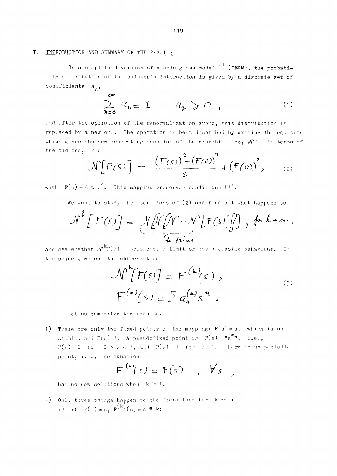#### INTRODUCTION AND SUMMARY OF THE RESULTS  $I<sub>o</sub>$

In a simplified version of a spin glass model  $\binom{1}{r}$  (CEGM), the probability distribution of the spin-spin interaction is given by a discrete set of coefficients  $a_n$ ,

$$
\sum_{n=0}^{\infty} a_n = 1 \qquad a_n \geqslant 0 \qquad (1)
$$

and after the operation of the renormalization group, this distribution is replaced by a new one. The operation is best described by writing the equation which gives the new generating function of the probabilities,  $N F$ , in terms of the old one, F :  $\overline{a}$ 

$$
\mathcal{N}\left[F(s)\right] = \frac{\left(F(s)\right)^{2} - \left(F(o)\right)^{2}}{s} + \left(F(o)\right)^{2}, \qquad (2)
$$

with  $F(s) = \sum a_n s^n$ . This mapping preserves conditions (1).

We want to study the iterations of  $(2)$  and find out what happens to

$$
N^{k}[F(S)] = \sqrt{N[N \cdot N[F(S)]]}, k k \rightarrow \infty
$$

and see whether  $N^{k}F(s)$  approaches a limit or has a chaotic behaviour. In the sequel, we use the abbreviation

$$
\mathcal{N}^{\mathbf{k}}[F(s)] = F^{(\mathbf{k})}(s),
$$
  
\n
$$
F^{(\mathbf{k})}(s) = \sum a_{n}^{(\mathbf{k})} s^{n}.
$$

Let us summarize the results.

1) There are only two fixed points of the mapping:  $F(s) = s$ , which is unstable, and  $F(s)=1$ . A pseudofixed point is  $F(s) = "s"$ , i.e.,  $F(s) = 0$  for  $0 \le s \le 1$ , and  $F(s) = 1$  for  $s = 1$ . There is no periodic point, i.e., the equation

$$
F^{(k)}(s) = F(s) \quad , \quad \forall s \quad ,
$$

has no new solutions when  $k > 1$ .

2) Only three things happen to the iterations for  $k \rightarrow \infty$ : i) if  $F(s) = s$ ,  $F^{(k)}(s) = s \ast k$ ;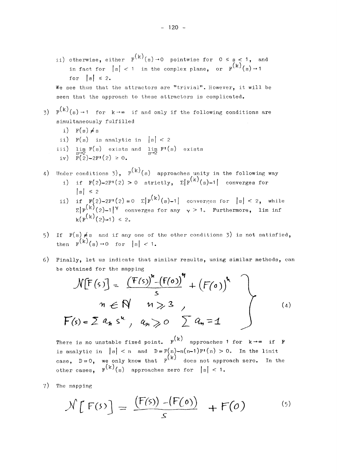ii) otherwise, either  $F^{(k)}(s) \rightarrow 0$  pointwise for  $0 \le s \le 1$ , and in fact for  $|s| < 1$  in the complex plane, or  $F^{(k)}(s) \rightarrow 1$ for  $|s| \leq 2$ .

We see thus that the attractors are "trivial". However, it will be seen that the approach to these attractors is complicated.

- 3)  $F^{(k)}(s) \rightarrow 1$  for  $k \rightarrow \infty$  if and only if the following conditions are simultaneously fulfilled
	- i)  $F(s) \neq s$
	- ii)  $F(s)$  is analytic in  $|s| < 2$
	- iii)  $\lim_{s\to 2} F(s)$  exists and  $\lim_{s\to 2} F'(s)$  exists iv)  $F(2) - 2F'(2) \ge 0$
- 4) Under conditions 3),  $F^{(k)}(s)$  approaches unity in the following way i) if  $F(2)$ -2F<sup>1</sup>(2) > 0 strictly,  $\Sigma[F^{(K)}(s)-1]$  converges for  $|s| \leq 2$ 
	- ii) if  $F(2)-2F'(2) = 0$   $\sum F^{(k)}(s) -1$  converges for  $|s| < 2$ , while  $\Sigma$ |F<sup>(k)</sup>(2)-1|<sup>Y</sup> converges for any  $\gamma > 1$ . Furthermore, lim inf  $k(F^{(k)}(2)-1) \leq 2.$
- 5) If  $F(s) \neq s$  and if any one of the other conditions 3) is not satisfied, then  $F^{(k)}(s) \rightarrow 0$  for  $|s| < 1$ .
- 6) Finally, let us indicate that similar results, using similar methods, can be obtained for the mapping

$$
\mathcal{N}[F(s)] = \frac{(F(s))^{n} - (F(o))^{n}}{s} + (F(o))^{n}
$$
\n
$$
n \in \mathbb{N} \quad n \gg 3
$$
\n
$$
F(s) = \sum a_{n} s^{n}, \quad a_{n} \gg o \quad \sum a_{n} = 1
$$
\n(4)

There is no unstable fixed point.  $F^{(k)}$  approaches 1 for  $k \rightarrow \infty$  if F is analytic in  $|s| < n$  and  $D = F(n)-n(n-1)F'(n) > 0$ . In the limit is analytic in  $|s| \geq n$  and  $D = \frac{1}{n} \binom{n}{k}$ . other cases.  $F^{(k)}(s)$  approaches zero for  $|s| < 1$ .

 $\omega$  cases  $\sigma$ 7) The mapping

$$
\mathcal{N}\left[F(s)\right] = \frac{\left(F(s)\right) - \left(F(o)\right)}{s} + F(o) \tag{5}
$$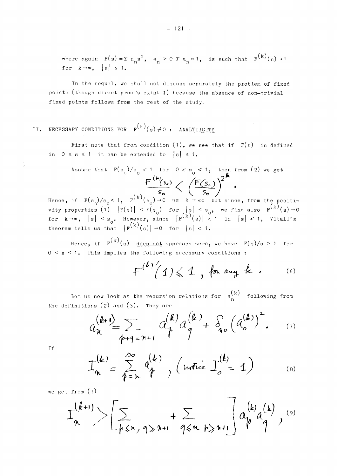where again  $F(s) = \sum a_n s^n$ ,  $a_n \ge 0$   $\sum a_n = 1$ , is such that  $F^{(k)}(s) \rightarrow 1$ for  $k \rightarrow \infty$ , |s|  $\leq 1$ .

In the sequel, we shall not discuss separately the problem of fixed points (though direct proofs exist *L)* because the absence of non-trivial fixed points follows from the rest of the study.

# II. NECESSARY CONDITIONS FOR *¥^(Β)Τ^Ο* : ANALYTICITY

First note that from condition  $(1)$ , we see that if  $F(s)$  is defined in  $0 \le s \le 1$  it can be extended to  $|s| \le 1$ .

Assume that 
$$
F(s_0)/s_0 < 1
$$
 for  $0 < s_0 < 1$ , then from (2) we get\n
$$
\frac{F^{(k)}(s_0)}{s_0} \left\langle \frac{F(s_0)}{s_0} \right\rangle^2
$$
\nHence, if  $F(s_0)/s_0 < 1$ ,  $F^{(k)}(s_0) \to 0$  as  $k \to \infty$ ; but since, from the positive

properties (1)  $|F(s)| \leq F(s)$  for  $|s| \leq s$ . we find also  $F^{(K)}$ for  $k \rightarrow \infty$ ,  $|s| \leq s$  . However, since  $|F^{(k)}(s)| < 1$  in  $|s| < 1$ , Vitali's theorem tells us that  $|F^{(k)}(s)| \rightarrow 0$  for  $|s| < 1$ .

 $\left( \cdot, \cdot \right)$ Hence, if  $F^{(n)}(s)$  does not approach zero, we have  $F(s)/s \ge 1$  for  $0 \leq s \leq 1$ . This implies the following necessary conditions :

$$
F^{(k)'}(1) \le 1
$$
, for any k. (6)

Let us now look at the recursion relations for  $a_n^{(k)}$  following from the definitions (2) and  $(3)$ . They are

$$
a_{n}^{(k+1)} = \sum_{p+q=n+1} a_{p}^{(k)} a_{q}^{(k)} + \delta_{q} (a_{o}^{(k)})^{2}. \qquad (7)
$$

If

 $\hat{\zeta}$ 

$$
I_n^{(k)} = \sum_{\ell=n}^{\infty} q_{\ell}^{(k)} , \left( \text{uetic } I_o^{(k)} = 1 \right) \tag{8}
$$

we get from (7)

$$
\mathcal{I}_{n}^{(k+1)}>\left[\sum_{p\leq x, q\geqslant n+1}+\sum_{q\leqslant n, p\geqslant n+1}\right]a_{p}^{(k)}a_{q}^{(k)},
$$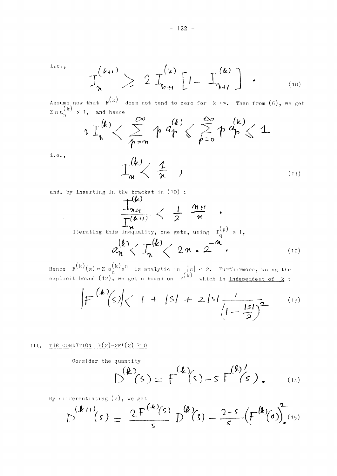$i \cdot e \cdot$ ,

$$
\mathcal{I}_{\lambda}^{(k+1)} \geq 2 \mathcal{I}_{\eta_{H}}^{(k)} \left[ I - \mathcal{I}_{\eta_{H}}^{(k)} \right] \qquad (10)
$$

Assume now that  $F(k)$  does not tend to zero for  $k \rightarrow \infty$ . Then from (6), we get  $\sum n \, a_n^{(k)} \leq 1$ , and hence

$$
\log\left(\frac{k}{\lambda}\right) < \sum_{k=n}^{\infty} \log\left(\frac{k}{\lambda}\right) < \sum_{k=0}^{\infty} \log\left(\frac{k}{\lambda}\right) < 1
$$

 $i.e.,$ 

$$
\mathcal{I}_{\mathfrak{m}}^{(k)} \leftarrow \frac{1}{\mathfrak{n}} \qquad (11)
$$

and, by inserting in the bracket in  $(10)$ :

$$
\frac{\frac{1}{\mu}(\mathbf{k})}{\frac{1}{\mu}(\mathbf{k}+1)} < \frac{1}{2} \frac{\mathbf{n}+1}{\mathbf{n}} \quad \text{Iterating this inequality, one gets, using } \mathbf{I}_{q}^{(p)} \leq 1,
$$
\n
$$
a_{n}^{(k)} < \mathbf{I}_{n}^{(k)} < 2 \mathbf{n} \cdot 2^{-n} \quad (12)
$$

Hence  $F^{(k)}(s) = \sum a_n^{(k)} s^n$  is analytic in  $|s| < 2$ . Furthermore, using the explicit bound (12), we get a bound on  $F^{(k)}$  which is <u>independent of  $k$ </u>:

$$
\left|F^{(k)}(s)\right| < 1 + |s| + 2|s| \frac{1}{\left(1 - \frac{|s|}{2}\right)^2}
$$
 (13)

## III. THE CONDITION  $F(2)-2F'(2) \ge 0$

Consider the quantity

$$
D^{(k)}(s) = F^{(k)}(s) - s F^{(k)'}(s) \qquad (14)
$$

By differentiating  $(2)$ , we get

$$
D^{(k+t)}(s) = \frac{2F^{(k)}(s)}{s} D^{(k)}(s) - \frac{2-s}{s} (F^{(k)}(s))^{2} (15)
$$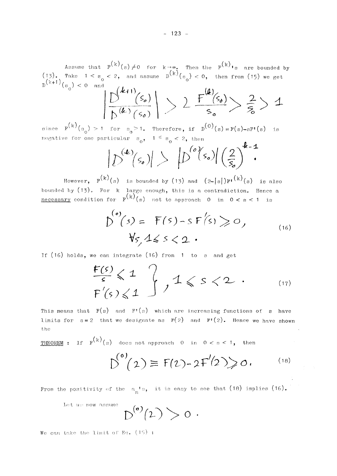Assume that  $F^{(K)}(s) \neq 0$  for  $k \rightarrow \infty$ . Then the  $F^{(K)}$ <sup>1</sup>s are bounded by  $(13)$ . Take 1 < s < 2, and assume  $D^{(K)}(s_{0})$  < 0, then from (15) we get  $D^{(k+1)}(s_{\alpha}) < 0$  and

$$
\left|\frac{D^{(k+1)}(s_o)}{D^{(k)}(s_o)}\right| \geq 2 \frac{F^{(k)}(s_o)}{s_o} \geq \frac{2}{s_o} \geq 1
$$

since  $F^{(K)}(s_{0})>1$  for  $s_{0}$ >1. Therefore, if  $D^{(O)}(s) = F(s) - sF'(s)$  is negative for one particular  $s_0$ ,  $1 \leq s_0 < 2$ , then

$$
|D^{(k)}(s_o)| > |D^{(o)}(s_o)| \left(\frac{2}{s_o}\right)^{k-1}
$$

However,  $F^{(k)}(s)$  is bounded by (13) and  $(2- |s|)F^{(k)}(s)$  is also bounded by  $(13)$ . For k large enough, this is a contradiction. Hence a <u>necessary</u> condition for  $F^{(k)}(s)$  not to approach 0 in  $0 < s < 1$  is

$$
D^{(0)}(s) = F(s) - s F(s) \ge 0,
$$
  
\n
$$
\forall s, 1 \le s < 2.
$$
 (16)

If (16) holds, we can integrate (16) from 1 to s and get

$$
\frac{F(s)}{s} \leqslant 1 \quad \text{if} \quad 1 \leqslant s < 2 \quad . \tag{17}
$$

This means that  $F(s)$  and  $F'(s)$  which are increasing functions of s have limits for  $s=2$  that we designate as  $\; \mathbb{P}(\;2) \quad \text{and} \quad \mathbb{P}^{\intercal}(2)$ . Hence we have shown the

THEOREM : If  $F^{(k)}(s)$  does not approach 0 in  $0 < s < 1$ , then

$$
\mathcal{D}^{(0)}(2) \equiv F(2) - 2F'(2) \geq 0.
$$
 (18)

From the positivity of the  $|a_n|^r s$ , it is easy to see that (18) implies (16).

Let us now assume

$$
D^{(0)}(2) > 0.
$$

We can take the limit of Eq. (15) :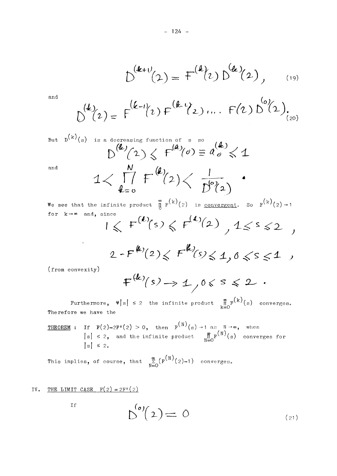$$
D^{(k+\nu)}(2) = F^{(k)}(2) D^{(k)}(2), \qquad (19)
$$

and  
\n
$$
\mathbb{D}^{(k)}(2) = F^{(k-1)}(2) F^{(k-1)}(2) \cdots F^{(2)} \mathbb{D}^{(0)}(2) \cdots
$$

But 
$$
D^{(k)}(s)
$$
 is a decreasing function of s so  
\n
$$
D^{(k)}/(2) \le F^{(k)}/(0) \equiv a'_{o} \le 1
$$
\nand  
\n
$$
1 < \prod_{k=0}^{N} F^{(k)}(2) < \frac{1}{D^{(0)}(2)}
$$

We see that the infinite product  $\int_{0}^{\infty} F^{(k)}(2)$  is <u>convergent</u>. So  $F^{(k)}(2) \rightarrow 1$  $\frac{1}{2}$ for  $k \rightarrow \infty$  and, since  $\overline{1}$ 

$$
1 \leqslant F^{(k)}(s) \leqslant F^{(k)}(2) \quad , \quad 1 \leqslant s \leqslant 2 \quad ,
$$

$$
2 - F^{(k)}(2) \leq F^{(k)}(5) \leq 1, 0 \leq s \leq 1,
$$

(from convexity)

 $\mathcal{L}^{\text{max}}$  , where  $\mathcal{L}^{\text{max}}$ 

$$
F^{(k)}(s) \rightarrow 1 \quad 0 \leq s \leq 2.
$$

Furthermore,  $\mathbf{\Psi}[s] \leq 2$  the infinite product  $\int_{k=0}^{\infty} f^{(k)}(s)$  converges. The refore we have the

THEOREM : If  $F(2)-2F'(2) > 0$ , then  $F^{(N)}(s) \rightarrow 1$  as  $N \rightarrow \infty$ , when  $|s| \leq 2$ , and the infinite product  $\lim_{N\to\infty}F^{(N)}(s)$  converges for  $|s| \leq 2$ .

ዊ  $\ell_{\rm m}({\rm N})_{\ell \, \circ 1 - 1, 1}$ 

$$
\mathcal{D}^{(o)}(2) = 0 \tag{21}
$$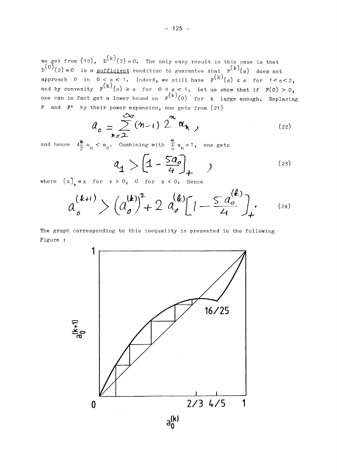we get from  $(19)$ ,  $D^{(K)}(2) = 0$ . The only easy result in this case is that  $D^{(0)}(2) = 0$  is a <u>sufficient</u> condition to guarantee that  $P^{(k)}(s)$  does not approach 0 in  $0 < s < 1$ . Indeed, we still have  $F^{(K)}(s) \leq s$  for  $1 < s < 2$ , and by convexity  $F^{(K)}(s) \geq s$  for  $0 \leq s < 1$ . Let us show that if  $F(0) > 0$ , one can in fact get a lower bound on  $F^{(K)'}(0)$  for  $k$  large enough. Replacing F and F1 by their power expansion, one gets from (21)

$$
a_o = \sum_{n=2}^{\infty} (n-1) 2^n a_n ,
$$
 (22)

and hence  $4\sum_{2}^{\infty} a_{n} < a_{0}$ . Combining with  $\sum_{0}^{\infty} a_{n} = 1$ , one gets

$$
a_1 > \left[1 - \frac{5a_0}{4}\right]_+ \quad \text{ (23)}
$$

where  $\begin{bmatrix} x \end{bmatrix}_{+} = x$  for  $x \ge 0$ , 0 for  $x \le 0$ . Hence

$$
a_o^{(k+1)} > (a_o^{(k)})^2 + 2 a_o^{(k)} [1 - \frac{a_o^{(k)}}{4}]_+.
$$
 (24)

The graph corresponding to this inequality is presented in the following Figure :

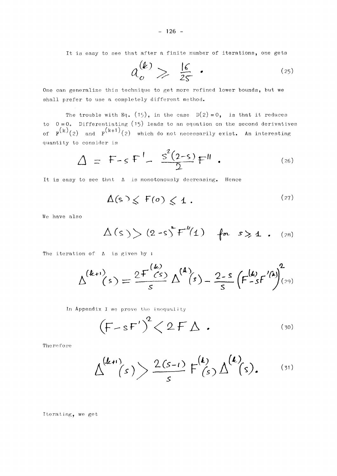It is easy to see that after a finite number of iterations, one gets

$$
a_o^{(k)} \geqslant \frac{16}{25} \tag{25}
$$

One can generalize this technique to get more refined lower bounds, but we shall prefer to use a completely different method.

The trouble with Eq. (15), in the case  $D(2) = 0$ , is that it reduces to  $0=0$ . Differentiating (15) leads to an equation on the second derivatives of  $\mathbb{F}^{\binom{K}{2}}$  and  $\mathbb{F}^{\binom{K+1}{2}}$  which do not necessarily exist. An interesting quantity to consider is

$$
\Delta = F - s F' - \frac{s^2(2-s)}{2} F'' \t\t(26)
$$

It is easy to see that  $\Delta$  is monotonously decreasing. Hence

$$
\Delta(s) \leqslant F(o) \leqslant 1 . \tag{27}
$$

We have also

$$
\Delta(s) > (2-s) F''(1) \quad \text{for} \quad s \geq 1 \quad (28)
$$

The iteration of  $\Delta$  is given by :

$$
\Delta^{(k+1)}(s) = \frac{2F^{(k)}}{s} \Delta^{(k)}(s) - \frac{2-s}{s} (F^{(k)}_{-s}F^{(k)})^2_{(29)}
$$

In Appendix I we prove the inequality

$$
(F-sF')^2 < 2F \Delta . \tag{30}
$$

**Therefore** 

$$
\Delta^{(k+1)}(s) > \frac{2(s-1)}{s} F^{(k)}(s) \Delta^{(k)}(s).
$$
 (31)

Iterating, we get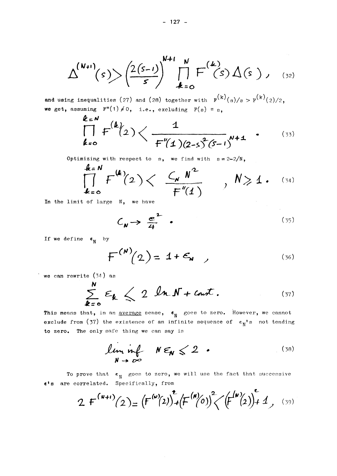$$
\Delta^{(N+1)}(s) > \left(\frac{2(s-1)}{s}\right)^{N+1} \prod_{k=0}^{N} F^{(k)}(s) \Delta(s), \quad (32)
$$

and using inequalities (27) and (28) together with  $F^{(k)}(s)/s > F^{(k)}(2)/2$ , we get, assuming  $F''(1) \neq 0$ , i.e., excluding  $F(s) = s$ ,

$$
\prod_{k=0}^{k=N} f^{(k)}(2) \left\langle \frac{1}{f''(1)(2-s^2(s-1))^{N+4}} \right\rangle
$$
 (33)

Optimizing with respect to s, we find with  $s = 2-2/N$ ,

$$
\prod_{k=0}^{k=N} F^{(k)}(2) \left\langle \frac{C_{N} N^{2}}{F''(1)} \right\rangle, N \geq 1. \quad (34)
$$

In the limit of large N, we have

$$
C_{N} \rightarrow \frac{e^{2}}{4} \quad . \tag{35}
$$

If we define  $\epsilon_{N}$  by

$$
F^{(N)}(2) = 1 + \epsilon_{N} \qquad (36)
$$

we can rewrite  $(34)$  as

$$
\sum_{k=0}^{N} \varepsilon_{k} \leq 2 \ln N + \text{cnot}.
$$
 (37)

This means that, in an <u>average</u> sense,  $e_N$  goes to zero. However, we cannot exclude from (37) the existence of an infinite sequence of  $\epsilon_N$ 's not tending to zero. The only safe thing we can say is

$$
\liminf_{N \to \infty} N \epsilon_N \leq 2 \quad . \tag{38}
$$

To prove that  $\epsilon_N$  goes to zero, we will use the fact that successive e's are correlated. Specifically, from

2 F<sup>(w+i)</sup>(2) = 
$$
(F^{(w)}(2))^{2}+(F^{(w)}(0))^{2}((F^{(w)}(2))^{2}+1)
$$
 (39)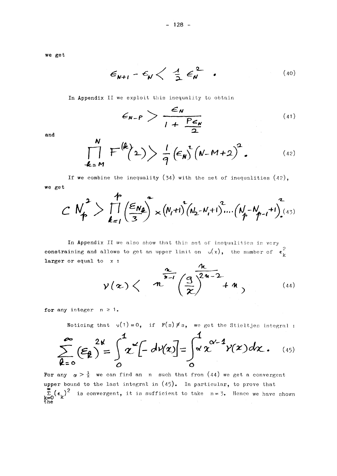we get

$$
\epsilon_{N+1} - \epsilon_N \left\langle \frac{1}{2} \epsilon_N^2 \right\rangle \qquad (40)
$$

In Appendix II we exploit this inequality to obtain

$$
\epsilon_{N-P} > \frac{\epsilon_N}{1 + \frac{P\epsilon_N}{2}}
$$
 (41)

and

$$
\prod_{k=M}^{N} F^{(k)}(2) \geqslant \frac{1}{q} \left(\epsilon_N \right)^2 \left(N-M+2\right)^2. \tag{42}
$$

If we combine the inequality (34) with the set of inequalities  $(42)$ , we get

$$
CN_P^2>\prod_{k=1}^{P}(\frac{\epsilon_{N_R}}{3})^2\times (N_I+1)^2(N_2-N_I+1)^2....(N_P-N_{P-1}+1)^2(43)
$$

In Appendix II we also show that this set of inequalities is very constraining and allows to get an upper limit on  $v(x)$ , the number of  $\epsilon_k^2$ larger or equal to  $x$  :

$$
y(x) \left\langle n \frac{\pi}{n-1} \left( \frac{3}{x} \right)^{\frac{n}{2n-2}} + n \right\rangle
$$
\n(44)

for any integer  $n \ge 1$ .

Noticing that  $v(1) = 0$ , if  $F(s) \neq s$ , we get the Stieltjes integral :

$$
\sum_{k=0}^{\infty} \left(\varepsilon_k\right)^{2k} = \int_0^1 \chi^{\alpha} \left[-\frac{d\psi(x)}{dx}\right] = \int_0^1 \chi^{\alpha-1} \gamma(x) dx. \quad (45)
$$

For any  $\alpha > \frac{1}{2}$  we can find an n such that from (44) we get a convergent upper bound to the last integral in  $(45)$ . In particular, to prove that  $\sum_{k=0}^{\infty} (\epsilon_k)^2$  is convergent, it is sufficient to take  $n=3$ . Hence we have shown the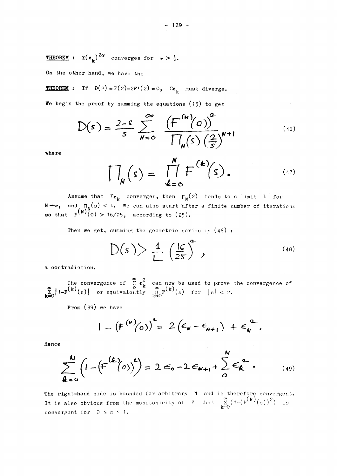**THEOREM** :  $\Sigma(\epsilon_{\mathbf{k}})^{2\alpha}$  converges for  $\alpha > \frac{1}{2}$ .

**On the other** hand, we have the

**THEOREM :** If  $D(2) = F(2) - 2F'(2) = 0$ ,  $\Sigma \epsilon_k$  must diverge.

We begin the proof by summing the equations  $(15)$  to get

$$
D(s) = \frac{2-s}{s} \sum_{N=0}^{\infty} \frac{\left(F^{(N)}(0)\right)^2}{\prod_{N}(s) \left(\frac{2}{s}\right)^{N+1}}
$$
 (46)

**where** 

$$
\prod_{\mathbf{N}}(s) = \prod_{k=0}^{\mathbf{N}} F^{(k)}(s).
$$
 (47)

Assume that  $\sum_{k}$  converges, then  $\pi_N(z)$  tends to a limit L for -»» and **ThT(s)** < L. We can also start after a finite number of itérations **30** that  $F^{(N)}(0) > 16/25$ , according to  $(25)$ .

Then we get, summing the geometric series in  $(46)$ :

$$
D(s) > \frac{1}{L} \left(\frac{16}{25}\right)^2, \tag{48}
$$

a contradiction.

**a** The conver  $T_{\text{ref}}$  convergence  $\mathbf{R}_{\text{ref}}$  (c) for  $\mathbf{P}_{\text{ref}}$ **jL|l**-F^(s)| or equivaiently jP^'fs) for ISL < 2 .

**From** (39) we have From (39) we have

$$
| - (F^{(\mu)}(o))^{2} = 2 (\epsilon_{\mu} - \epsilon_{\mu+1}) + \epsilon_{\mu}^{2}.
$$

**Hence** 

$$
\sum_{k=0}^{N} \left(1 - \left(\frac{F^{(k)}(0)}{F^{(k)}}\right)^{k}\right) = 2 \epsilon_0 - 2 \epsilon_{N+1} + \sum_{0}^{N} \epsilon_k^{2}.
$$
 (49)

The right-hand side is bounded for arbitrary N and is therefore convergent. **It is also obvious from** the monotonicity of F that  $\sum_{n=0}^{\infty} (1-(F^{(K)}(s))^2)$  is  $k - 0$ convergent for  $0 \leq s \leq 1$ .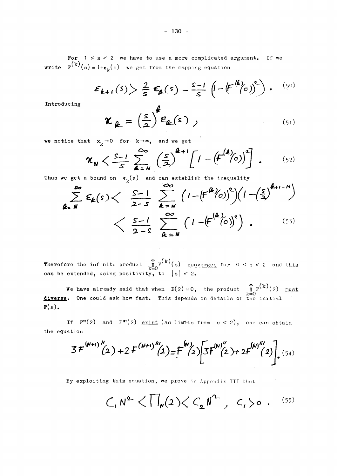For  $1 \leq s < 2$  we have to use a more complicated argument. If we **write**  $F^{(k)}(s) = 1+\epsilon_k(s)$  we get from the mapping equation

$$
\mathcal{E}_{k+1}(s) > \frac{2}{s} \mathcal{E}_{k}(s) - \frac{s-1}{s} \left( - \left( F^{(k)}(s) \right)^{s} \right). \tag{50}
$$

**Introducing** 

$$
\boldsymbol{\kappa}_{\ell} = \left(\frac{s}{2}\right)^{\ell} \boldsymbol{\varepsilon}_{\ell}(\mathbf{s}) \tag{51}
$$

**we notice that**  $x_k \rightarrow 0$  for  $k \rightarrow \infty$ , and we get

$$
\mathcal{X}_{N} \left\langle \frac{S-1}{S} \sum_{\Delta=N}^{\infty} \left( \frac{S}{\Delta} \right)^{\Delta+1} \left[ 1 - \left( F^{(A)}(0) \right)^{2} \right] \right. \tag{52}
$$

**Thus we get a bound on**  $\boldsymbol{\epsilon}_k^{}(\mathrm{s})$  **and can establish the inequalit** 

$$
\sum_{\ell=N}^{\infty} \mathcal{E}_{\ell}(s) < \frac{S-1}{2-S} \sum_{\ell=N}^{\infty} \left(1 - \left(\frac{F^{(\ell)}}{O}\right)^{2}\right) \left(1 - \left(\frac{S}{3}\right)^{\ell+1-N}\right) < \frac{S-1}{2-S} \sum_{\ell=N}^{\infty} \left(1 - \left(\frac{F^{(\ell)}}{O}\right)^{\ell}\right).
$$
(53)

 $\sum_{k=1}^{\infty}$  (k),  $\sum_{k=1}^{\infty}$ **Therefore** the infinite product  $\lim_{k=0}^{n} f(x) = \lim_{k \to \infty} \frac{\text{converges}}{\text{for } k}$  for  $0 \leq s \leq 2$  and this **k**=0

**Can** be extended on  $\mathbb{R}^2$  to  $\mathbb{R}^2$  that  $\mathbb{R}^2$   $\mathbb{R}^2$   $\mathbb{R}^2$   $\mathbb{R}^2$ we have already said that when  $D(z) = 0$ , the product  $\frac{m}{k}$  (2)  $\frac{m\alpha_0}{k}$ ene ruterar **diverge» One** could ask how fast. This dépends on détails of the initial

If  $F''(2)$  and  $F'''(2)$  exist (as limits from  $s < 2$ ), one can obtain If F**1l(2)** and Fl,f(2) exist (as linrrts from s *< 2)* , one can obtain

$$
3f^{(N+1)''}(2)+2f^{(N+1)'''}(2)=f^{(N)}(2)\Big[3f^{(N)''}(2)+2f^{(N)''(2)}(2)\Big]_{\bullet}^{(54)}
$$

By exploiting this équation, we prove in Appendix III that

$$
\mathcal{C}_1 N^2 \langle \prod_{\mathbf{N}} (2) \langle C_2 N^2, C_1 \rangle \circ . \quad (55)
$$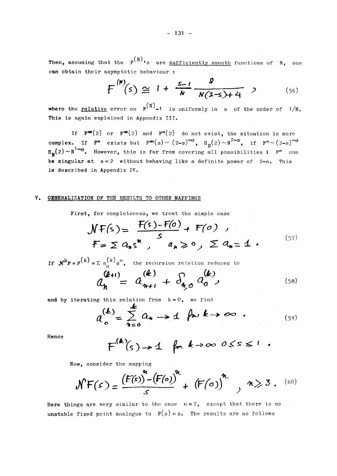Then, assuming that the  $F(N)$ <sub>1</sub>s are sufficiently smooth functions of N, one can obtain their asymptotic behaviour :

$$
F^{(N)}(s) \cong 1 + \frac{s-1}{N} \frac{s}{N(2-s)+4} \quad , \tag{56}
$$

where the <u>relative</u> error on  $F^{(N)}$ -1 is uniformly in s of the order of 1/N. **which is again arriving in Arrandix III This is again explained in Appendix III.** 

If  $\mathbf{F}^{\text{tm}}(2)$  or  $\mathbf{F}^{\text{tm}}(2)$  and  $\mathbf{F}^{\text{m}}(2)$  do not exist, the situation is more **complex.** If  $\mathbf{F}^{\mathbf{m}}$  exists but  $\mathbf{F}^{\mathbf{m}}(s) \sim (2-s)^{-\alpha}$ ,  $\Pi_{\mathbf{M}}(2) \sim N^{2-\alpha}$ , if  $\mathbf{F}^{\mathbf{m}} \sim (2-s)^{-\alpha}$  $\Pi_\mathbf{w}(2) \sim \text{N}^{\mathbf{1-\alpha}}.$  However, this is far from covering all possibilities  $\mathbf{1}$   $\mathbf{F}^{\mathbf{r}}$  can **be singular at s =** 2 **without behaving like a definite power of** 2**-s. This is described in Appendix IV·** 

#### **V· GENERALIZATION OF THE RESULTS TO OTHER MAPPINGS**

**First, for completeness, we treat the simple case** 

$$
NF(s) = \frac{F(s) - F(o)}{s} + F(o) ,
$$
  
\n
$$
F = \sum a_n s^n, \quad a_n \geqslant 0, \quad \sum a_n = \pm 1 .
$$
 (57)

**If**  $\mathbf{N}^k \mathbf{F} = \mathbf{F}^{(k)} = \sum a_n^{(k)} s^n$ , the recursion relation reduces to  $\frac{1}{2}$   $\frac{1}{2}$   $\frac{1}{2}$   $\frac{1}{2}$   $\frac{1}{2}$   $\frac{1}{2}$   $\frac{1}{2}$   $\frac{1}{2}$   $\frac{1}{2}$   $\frac{1}{2}$   $\frac{1}{2}$   $\frac{1}{2}$   $\frac{1}{2}$   $\frac{1}{2}$   $\frac{1}{2}$   $\frac{1}{2}$   $\frac{1}{2}$   $\frac{1}{2}$   $\frac{1}{2}$   $\frac{1}{2}$   $\frac{1}{2}$   $\frac{1}{2$ 

and by iterating this relation from  $k = 0$ , we find

$$
a_o^{(k)} = \sum_{n=0}^{\infty} a_n \rightarrow 1 \quad \text{for } k \rightarrow \infty \quad . \tag{59}
$$

*(5β )* 

**Hence** 

$$
F^{(k)}(s) \rightarrow 1 \quad \text{for } k \rightarrow \infty \text{ } 0 \leq s \leq 1
$$

**Now, consider the mapping** 

$$
\mathcal{N}F(s) = \frac{(F(s))^{n}-(F(o))^{n}}{s} + (F(o))^{n}, n \geq 3. (60)
$$

**Here things are very similar to the case n =** 2, **except that there is no unstable fixed point analogue to**  $F(s) = s$ **.** The results are as follows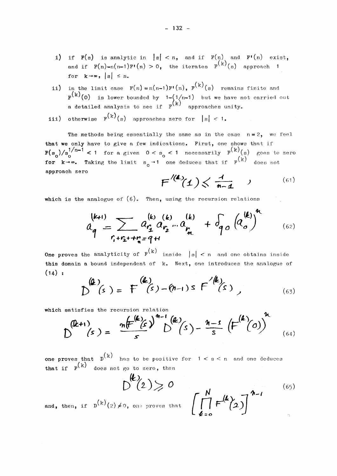- i) if  $F(s)$  is analytic in  $|s| < n$ , and if  $F(n)$  and  $F'(n)$  exist, and if  $F(n)-n(n-1)F'(n) > 0$ , the iterates  $F^{(k)}(s)$  approach 1 for  $k \rightarrow \infty$ ,  $|s| \leq n$ .
- **ii)** in the limit case  $F(n) = n(n-1)F'(n)$ ,  $F^{(k)}(s)$  remains finite and  $\mathbf{F}^{\mathcal{K} \mathcal{N}}(\mathbf{0})$  is lower bounded by  $1 - \left( \frac{1}{n-1} \right)$  but we have not carried out (k)
- **iii)** otherwise  $F^{(k)}(s)$  approaches zero for  $|s| < 1$ .

The methods being essentially the same as in the case  $n = 2$ , we feel that we only have to give a few indications. First, one shows that if  $\frac{1}{n}$   $\frac{1}{n-1}$  **f**  $\frac{1}{n-1}$  **f**  $\frac{1}{n-1}$  **f**  $\frac{1}{n-1}$  **f**  $\frac{1}{n-1}$  **f**  $\frac{1}{n-1}$  **f**  $\frac{1}{n-1}$  **f**  $\frac{1}{n-1}$  **f**  $\frac{1}{n-1}$  **f**  $\frac{1}{n-1}$  **f**  $\frac{1}{n-1}$  **f**  $\frac{1}{n-1}$  **f**  $\frac{1}{n-1}$  **f**  $\frac$  $P_{\text{c}}$   $P_{\text{c}}$   $P_{\text{c}}$   $P_{\text{c}}$   $P_{\text{c}}$   $P_{\text{c}}$   $P_{\text{c}}$   $P_{\text{c}}$   $P_{\text{c}}$   $P_{\text{c}}$   $P_{\text{c}}$   $P_{\text{c}}$   $P_{\text{c}}$   $P_{\text{c}}$   $P_{\text{c}}$   $P_{\text{c}}$   $P_{\text{c}}$   $P_{\text{c}}$   $P_{\text{c}}$   $P_{\text{c}}$   $P_{\text{c}}$   $P_{\text{c}}$  **for**  $\frac{1}{2}$  on  $\frac{1}{2}$  on  $\frac{1}{2}$  if  $\frac{1}{2}$  on extracts that if  $\frac{1}{2}$  does not **approach** zéro

$$
F^{\prime(4)}(1) \leq \frac{1}{n-1} \qquad (61)
$$

**which is the analogue of (6). Then, using the recursion relations** 

$$
a_{q}^{(k+1)} = \sum_{r_{1}+r_{2}+r_{n}=q+1} a_{r_{1}}^{(k)} a_{r_{2}}^{(k)}...a_{r_{n}}^{(k)} + \delta_{q}^{(k)} a_{q}^{(k)} + \delta_{q}^{(k)}
$$
 (62)

**One proves the analyticity of**  $F^{(k)}$  **inside**  $|s| < n$  **and one obtains inside** this domain a bound independent of k. Next, one introduces the analogue of **(14) :** 

$$
D^{(4)}(s) = F^{(4)}(s) - (n-1) s F^{(4)}(s) \tag{63}
$$

**which satisfies** the recursion relation

| \n $(\mathbf{k}+1)$ \n | \n $(s) = \frac{n(\mathbf{F}^{(k)}\hat{\epsilon})^{n-1} (k)}{s}$ \n | \n $(s) - \frac{n-s}{s} (\mathbf{F}^{(k)}(0))^{n}$ \n |
|------------------------|---------------------------------------------------------------------|-------------------------------------------------------|
|------------------------|---------------------------------------------------------------------|-------------------------------------------------------|

one proves that  $p^{(k)}$  has to be positive for  $1 < s < n$  and one deduces **one proves that D** has to be positive for 1 < s < n and one deduces  $\binom{n}{k}$ 

$$
D^{(k)}(2) > 0 \tag{65}
$$
\nand, then, if  $D^{(k)}(2) \neq 0$ , one proves that  $\left[\prod_{k=0}^{N} F^{(k)}(2)\right]^{n-1}$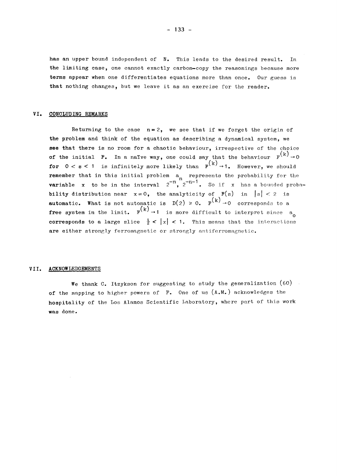**has an upper bound independent of N. This leads to the desired resuit. In the limiting case, one cannot exactly carbon—copy the reasonings because more terms appear when one differentiates équations more than once. Our guess is that nothing changes, but we leave it as an exercise for the reader.** 

#### **VI. CONCLUDING REMARKS**

Returning to the case  $n=2$ , we see that if we forget the origin of the problem and think of the equation as describing a dynamical system, we **see that there is no room for a chaotic behaviour, irrespective of the choice of the initial F.** In a naïve way, one could say that the behaviour  $F^{(k)} \rightarrow 0$ **for**  $0 < s < 1$  is infinitely more likely than  $F^{(k)} \rightarrow 1$ . However, we should **formal remember** that in this initial problem  $a_n$  represents the probability for the **rariable** x to be in the interval  $2^{-n}$ ,  $2^{-n-1}$ . So if x has a bounded proba**bility** distribution near  $x = 0$ , the analyticity of  $F(s)$  in  $|s| < 2$  is **automatic.** What is not automatic is  $D(2) \ge 0$ .  $F^{(k)} \rightarrow 0$  corresponds to a **free system in the limit.**  $\mathbb{P}^{\left(k\right)} \rightarrow 1$  is more difficult to interpret since a **corresponds to a large slice**  $\frac{1}{2} < |x| < 1$ **.** This means that the interactions are either strongly ferromagnetic or strongly antiferromagnetic.

#### **VII. ACKNOWLEDGEMENTS**

We thank C. Itzykson for suggesting to study the generalization  $(60)$ **of the mapping to higher powers of F. One of us** (A.M.) **acknowledges the hospitality of the Los Alamos Scientific I.aboratory, where part of this work was done.** 

**corresponds to a large slice \< |x| <**<sup>1</sup> . **This means that the interactions**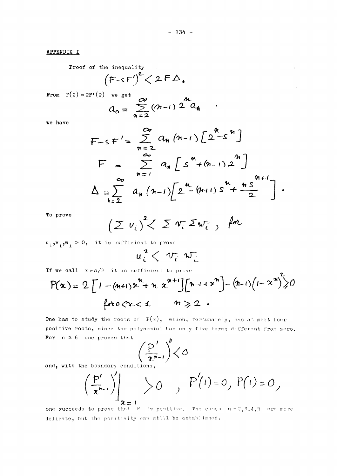#### APPENDIX I

Proof of the inequality\n
$$
(F-sF')^2 < 2FD.
$$

**From**  $F(2) = 2F'(2)$  we get

$$
a_o = \sum_{n=2}^{\infty} (n-1) 2^{n} a_n
$$

we have

$$
F-sF' = \sum_{n=2}^{\infty} a_n (n-1) \left[ 2^{n-1} \right]
$$
  
\n
$$
F = \sum_{n=1}^{\infty} a_n \left[ 5^{n} + (n-1) \right]^{n} \left[ 2^{n+1} \right]
$$
  
\n
$$
\Delta = \sum_{n=2}^{\infty} a_n (n-1) \left[ 2^{n} + (n+1) \right]^{n} + \frac{n \cdot 5^{n+1}}{2} \left[ 2^{n+1} \right]
$$

To prove

 $u_i, v_i, w_i > 0$ , it is sufficient to prove

$$
u_i^2 \leftarrow v_i^2 w_{\tilde{c}}
$$

If we call  $x = s/2$  it is sufficient to prove

$$
P(\alpha) = 2 \left[ 1 - (n+1) \alpha^{n} + n \alpha^{n+1} \right] \left[ n - 1 + \alpha^{n} \right] - (n-1) \left( 1 - \alpha^{n} \right)^2 > 0
$$
  
for  $0 < \alpha < 1$   $n > 2$ .

One has to study the roots of  $P(x)$ , which, fortunately, has at most four positive roots, since the polynomial has only five terms different from zero. For  $n \ge 6$  one proves that  $\mathbf{r}$ 

$$
\left(\frac{p'}{z^{n-1}}\right)^{n} < \infty
$$

and, with the boundary conditions,

$$
\left.\left(\frac{P'}{x^{n-1}}\right)\right|_{x=1} > 0 \qquad , \quad P'(1) = 0, \quad P(1) = 0,
$$

one succeeds to prove that  $F$  is positive. The cases  $n = 2, 3, 4, 5$  are more delicate, but the positivity can still be established.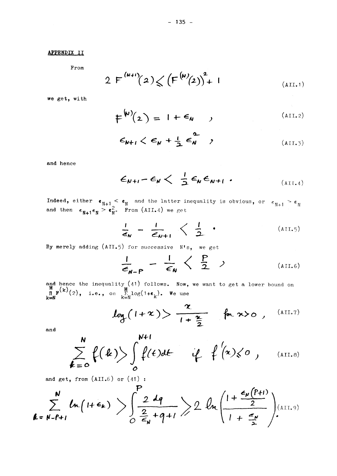#### **APPENDIX II**

**From** 

$$
2 F^{(N+1)}(2) \leqslant \left( F^{(N)}(2) \right)^2 + 1 \tag{All.1}
$$

**we get, with** 

$$
\mu^{(k)}(2) = 1 + \epsilon_{k} \qquad (AII.2)
$$

$$
\epsilon_{N+1} < \epsilon_N + \frac{1}{2} \epsilon_N^2 \quad , \tag{AII.3}
$$

**and hence** 

$$
\epsilon_{N+1} - \epsilon_N < \frac{1}{2} \epsilon_N \epsilon_{N+1} \tag{All.4}
$$

 $\bf{Indeed, either} \quad \boldsymbol{\epsilon}_{N+1}^{} < \boldsymbol{\epsilon}_{N}^{}$  and the latter inequality is obvious, or  $\boldsymbol{\epsilon}_{N+1}^{} > \boldsymbol{\epsilon}_{N}^{}$ **and then**  $\epsilon_{N+1} \epsilon_N > \epsilon_N^2$ **. From (AII.4) we get** 

$$
\frac{1}{\epsilon_N} - \frac{1}{\epsilon_{N+1}} \leq \frac{1}{2} \qquad (AII.5)
$$

By merely adding (AII.5) for successive N's, we get

$$
\frac{1}{\epsilon_{N-P}} - \frac{1}{\epsilon_N} \left\langle \frac{P}{2} \right\rangle \tag{AII.6}
$$

**and hence** the inequality (41 ) follows. **Now,** we want to get a lower bound on  $\mathbf{F}^{(K)}(2)$ , i.e., on  $\sum_{k=1}^{K} \log(1+\epsilon_{k})$ . We use **k=N** k=N k

$$
log(1+x) > \frac{x}{1+\frac{x}{2}}
$$
  $ln x > 0$ , (AII.7)

**and** 

$$
\sum_{k=0}^{N} f(k) > \int_{0}^{N+1} f(t) dt \qquad \dot{\psi} \qquad \oint_{0}^{1} (x) \leq \sigma , \qquad \text{(AII.8)}
$$

**and get, from** (AII.6) **or** (41) :

$$
\sum_{k=N-P+1}^{N}ln(1+\epsilon_{k}) \geq \int_{O}^{P} \frac{2dq}{\epsilon_{N}+q+1} \geq 2ln\left(\frac{1+\frac{\epsilon_{N}(P+1)}{2}}{1+\frac{\epsilon_{N}}{2}}\right)_{(AII.9)}
$$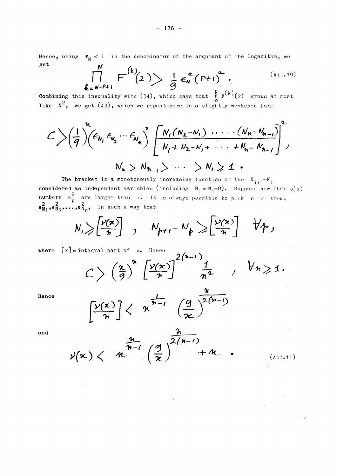Hence, using  $\bullet_N < 1$  in the denominator of the argument of the logarithm, we get

$$
\prod_{\boldsymbol{\ell} \in N-P+1}^{n} F^{(\boldsymbol{k})}(2) \geq \frac{1}{9} \epsilon_{N}^{2} (P+1)^{2}.
$$
\n(AIII.10)

Combining this inequality with (34), which says that  $\prod_{0}^{N} F^{(k)}(2)$  grows at most like  $N^2$ , we get (43), which we repeat here in a slightly weakened form

$$
C\left(\frac{1}{q}\right)\left(\frac{k}{q_{1}},\epsilon_{N_{1}},\epsilon_{N_{2}},\cdots\epsilon_{N_{n}}\right)\left[\frac{N_{1}(N_{2}-N_{1})\cdots(N_{n}-N_{n-1})}{N_{1}+N_{2}-N_{1}+\cdots+N_{n}-N_{n-1}}\right]^{2},
$$
  

$$
N_{n} > N_{n-1} > \cdots > N_{n} \ge 1.
$$

The bracket is a monotonously increasing function of the  $N_{i+1}-N_i$ considered as independent variables (including  $N_1 = N_1 - 0$ ). Suppose now that  $v(x)$ <br>numbers  $\epsilon_p^2$  are larger than x. It is always possible to pick n of them,<br> $\epsilon_{N_1}^2$ ,  $\epsilon_{N_2}^2$ ,..., $\epsilon_{N_n}^2$ , in such a way that

$$
N_{1} \geqslant \left[\frac{\nu(x)}{n}\right]
$$
,  $N_{p+1} - N_{p} \geqslant \left[\frac{\nu(x)}{n}\right]$   $\forall p_{1}$ 

where  $\lceil x \rceil$  = integral part of x. Hence

$$
C>\left(\frac{\alpha}{9}\right)^n\left[\frac{\nu(x)}{n}\right]^{2(n-1)}\frac{1}{n^2},\quad \forall n\geqslant 1.
$$

 $\overline{a}$ 

Hence

$$
\left[\frac{\nu(x)}{n}\right] \leftarrow n^{\frac{1}{n-1}} \left(\frac{g}{x}\right)^{\frac{u}{2(n-1)}}
$$

and

$$
y(\mathbf{x}) \leftarrow n \frac{\frac{n}{n-1}}{\left(\frac{q}{\mathbf{x}}\right)^{\frac{1}{2(n-1)}}} + n \qquad (All.11)
$$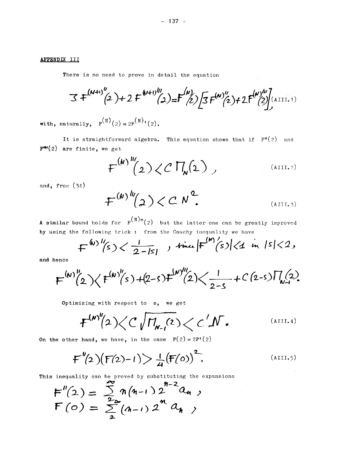# APPENDIX III

There is no need to prove in detail the equation

$$
3 F^{(N+1)''}(2) + 2 F^{(N+1)'''}(2) = F^{(N)}(2) \left[ 3 F^{(N)''}(2) + 2 F^{(N)'''}(2) \right]^{(\text{ATT.1})}
$$

with, naturally,  $F^{(N)}(2) = 2F^{(N)}(2)$ .

It is straightforward algebra. This equation shows that if  $F''(2)$  and P **ff,(2)** are finite, we get

$$
F^{(N)'''}(2) \langle C \Pi_{N}(2) \rangle
$$
 (AIII.2)

and, from (34)

$$
\mathcal{F}^{(k) \, \text{ln}}(2) < C \, \text{N}^2. \tag{All 3}
$$

A similar bound holds for  $F^{(N)*}(2)$  but the latter one can be greatly improved by using the following trick : from the Cauchy inequality we have

$$
F^{(w)''(s)} \leftarrow \frac{1}{2-|s|}, \text{ time } |F^{(w)}(s)| \leftarrow 1 \text{ in } |s| < 2,
$$

**and** hence

$$
F^{(N)''}(2)\langle F^{(N)''}(s)+(2-s)F^{(N)'''}(2)\langle\frac{1}{2-s}+C(2-s)\Pi_{N-1}(2)\rangle
$$

Optimizing with respect to s, we get

$$
F^{(N)''\!}/2) \!\! < \!\! C\sqrt{\Pi_{N-1}(2)} \!<\! C\!\! /N \, . \qquad \qquad \text{(AllA)}
$$

**On the other hand, we have, in the case**  $F(2) = 2F'(2)$ 

$$
F''(2)(F(2)-1) > \frac{1}{4}(F(0))^2.
$$
 (AIII.5)

This inequality can be proved by substituting the expansions

$$
F''(2) = \sum_{2}^{m} n(n-1) 2^{n-2} a_n ,
$$
  

$$
F(o) = \sum_{2}^{m} (n-1) 2^{n} a_n ,
$$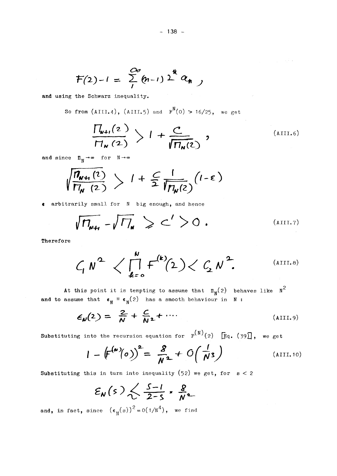$$
F(2)-1 = \sum_{1}^{\infty} (n-1) 2^{i\theta} a_{n\theta}
$$

and using the Schwarz inequality.

So from  $(AIII.4)$ ,  $(AIII.5)$  and  $F^N(0) > 16/25$ , we get

$$
\frac{\prod_{\mathbf{N}+1}(2)}{\prod_{\mathbf{N}}(2)} > 1 + \frac{C}{\sqrt{\prod_{\mathbf{N}}(2)}}, \qquad (All1.6)
$$

 $\mathcal{L}_{\rm{max}}$ 

and since  $\Pi_N \to \infty$  for  $N \to \infty$ 

$$
\sqrt{\frac{\eta_{w+1}(2)}{\eta_w(2)}} > 1 + \frac{C}{2} \frac{1}{\sqrt{\eta_w(2)}} (1-\epsilon)
$$

s arbitrarily small for N big enough, and hence

$$
\sqrt{\Pi_{\mathbf{w}+1}} - \sqrt{\Pi_{\mathbf{w}}} \geqslant C' > 0 .
$$
 (AllI.7)

Therefore

$$
C_1 N^2
$$
  $\langle \prod_{k=0}^{N} F^{(k)}(2) \rangle \langle C_2 N^2$  (AIII.8)

At this point it is tempting to assume that  $\Pi_N(z)$  behaves like  $N^2$ <br>and to assume that  $\epsilon_N \equiv \epsilon_N(z)$  has a smooth behaviour in N:

$$
\epsilon_{\nu}(2) = \frac{2}{N} + \frac{C}{N^2} + \cdots \tag{All1.9}
$$

Substituting into the recursion equation for  $F^{(N)}(2)$   $\left[\mathbb{F}_{q}$ . (39), we get

$$
I - \left( F^{(w)}(o) \right)^2 = \frac{g}{N^2} + O\left( \frac{1}{N^3} \right)
$$
 (AIII.10)

Substituting this in turn into inequality (52) we get, for  $s < 2$ 

$$
\varepsilon_{\mathsf{N}}(s) \leftarrow \frac{s-1}{2-s} \cdot \frac{g}{\mathsf{N}^2}
$$

and, in fact, since  $(\epsilon_{N}(s))^{2} = o(1/N^{4})$ , we find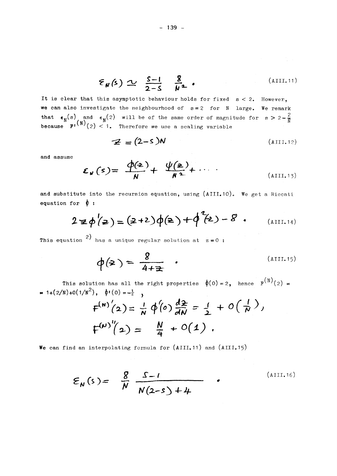$$
\mathcal{E}_{\mathbf{N}}(\mathbf{s}) \simeq \frac{\mathbf{S}-\mathbf{I}}{2-\mathbf{S}} \frac{\mathbf{g}}{\mathbf{N}^2} \qquad (111.11)
$$

**It is clear that this asymptotic behaviour holds for fixed s <** 2 . **However, we can also investigate the neighbourhood of s =** 2 **for large. We remark that**  $\epsilon_{\text{N}}(s)$  **and**  $\epsilon_{\text{N}}(2)$  **will be of the same order of magnitude for s > 2 -**  $\frac{2}{N}$ **because F<sup>1</sup>** ^(2 ) < 1. **Therefore we use a scaling variable** 

$$
\mathcal{Z} = (2 - s)N \tag{All1.12}
$$

**and assume** 

$$
\mathcal{E}_{\mathbf{w}}(s) = \frac{\Phi(\mathbf{z})}{N} + \frac{\Psi(\mathbf{z})}{N^2} + \cdots
$$
 (AIII.13)

and substitute into the recursion equation, using (AIII.10). We get a Riccati **equation for**  $\phi$  **:** 

$$
2 \ncong \phi'(2) = (2+2)\phi(2) + \phi^2(2) - 8
$$
 (AllI.14)

2) **This équation bas a unique regular solution at z**=0 :

$$
\phi(\mathbf{z}) = \frac{g}{4 + \mathbf{z}} \qquad (AllI.15)
$$

**This solution has all the right properties**  $\phi(0) = 2$ **, hence**  $F^{(N)}(2) = 1$  $= 1+(2/N)+O(1/N^2)$ **,**  $\phi(0)=-\frac{1}{2}$ 

$$
F^{(N)'}(2) = \frac{1}{N} \oint (0) \frac{dz}{dN} = \frac{1}{2} + O(\frac{1}{N}),
$$
  

$$
F^{(N)''}(2) = \frac{N}{4} + O(1).
$$

We can find an interpolating formula for (AIII.11) and (AIII.15)

$$
\mathcal{E}_{N}(s) = \frac{8}{N} \frac{S-1}{N(2-s) + 4}
$$
 (AllI.16)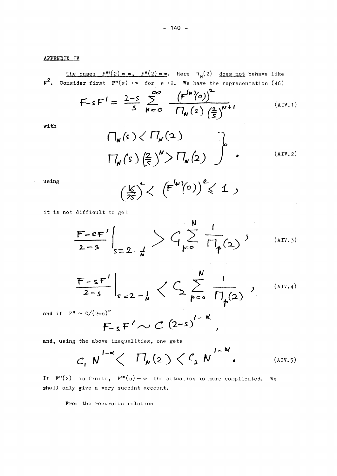The cases  $F'''(2) = \infty$ ,  $F''(2) = \infty$ . Here  $\pi_N(2)$  does not behave like  $N^2$ . Consider first  $F''(s) \rightarrow \infty$  for  $s \rightarrow 2$ . We have the representation (46)

$$
\mathsf{F}\text{-}\mathsf{s}\,\mathsf{F}'=\frac{2-\mathsf{s}}{\mathsf{s}}\sum_{N=0}^{\infty}\frac{\left(\mathsf{F}^{(N)}(o)\right)^{\mathsf{L}}}{\prod_{N}\left(\mathsf{s}\right)\left(\frac{2}{\mathsf{s}}\right)^{N+1}}\tag{AUV.1}
$$

with

$$
\Pi_{\mathbf{w}}(s) \langle \Pi_{\mathbf{w}}(2) \rangle
$$
\n
$$
\Pi_{\mathbf{w}}(s) \left(\frac{2}{5}\right)^{\mathbf{w}} > \Pi_{\mathbf{w}}(2) \qquad (111.2)
$$

using

 $\ddot{\phantom{1}}$ 

$$
\left(\frac{\lg}{2s}\right)^c < \left(F^{(w)}(0)\right)^{\ell} < 1,
$$

it is not difficult to get

$$
\frac{F-sF'}{2-s}\bigg|_{s=2-\frac{1}{N}} > C \sum_{k=0}^{N} \frac{1}{\prod_{\phi(\Delta)}(2)},
$$
\n(AIV.3)

$$
\frac{F-sF'}{2-s}\bigg|_{s=2-\frac{1}{N}}\bigg\langle\bigcup_{p=0}^{N}\frac{1}{\prod_{p\geq 0}^{N}}\bigg|_{p\neq 0},\qquad\text{(AU.4)}
$$

and if  $F'' \sim C/(2-s)^{\alpha}$ 

$$
F_{-s}F' \sim C \left(2-s\right)^{1-\kappa},
$$

and, using the above inequalities, one gets

$$
C, N^{1-\alpha} \left\langle \Pi_{\mathbf{M}}(2) \left\langle C_{\mathbf{L}} N^{1-\alpha} \right\rangle \right. \tag{AIV.5}
$$

If  $F''(2)$  is finite,  $F'''(s) \rightarrow \infty$  the situation is more complicated. We shall only give a very succint account.

From the recursion relation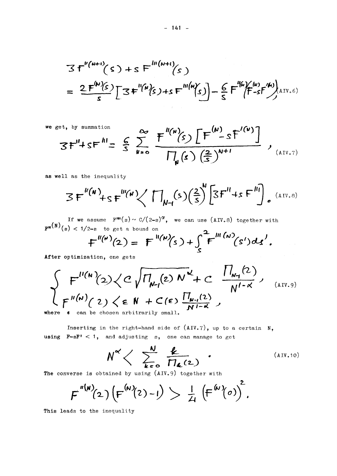$$
3f''^{(N+1)}(s) + sF'''^{(N+1)}(s)
$$
  
= 
$$
\frac{2F^{(N)}(s)}{s}[3F^{(N)}(s) + sF^{(N)}(s)] - \frac{6}{s}F^{(N)}(f-sF^{(N)}(s))
$$
  

$$
= \frac{2F^{(N)}(s)}{s}[3F^{(N)}(s) + sF^{(N)}(s)] - \frac{6}{s}F^{(N)}(f-sF^{(N)}(s))
$$

we get, by summation  
\n
$$
3F''+sF^{11} = \frac{6}{5} \sum_{N=0}^{\infty} \frac{F^{1(N)}(s) \left[F^{(N)}-sF^{(N)}\right]}{\prod_{N}(s) \left(\frac{2}{5}\right)^{N+1}},
$$
\n(AX, 7)

**as well as the inequality** 

$$
3F''^{(N)}+sF'''^{(N)}\left(\prod_{N\vdash l}(s)\left(\frac{2}{s}\right)^N\left[3F''+sF''^{l}\right]_{\circ}^{(AIV.8)}
$$

**If we assume**  $\mathbf{F}^{\prime\prime\prime}(s) \sim C/(2\text{--s})^{\alpha}$ **,** we can use (AIV.8) together with  $\mathbf{F}^{\mathbf{m}(\mathbf{n})}(\mathbf{s}) < 1/2$ -s to get a bound on

$$
F''^{(n)}(2) = F^{(n)}(s) + \int_{s}^{1} F^{(n)}(s')ds'
$$

**After optimization, one gets** 

$$
\int_{\text{here}} F''^{(N)}(2) \langle C \sqrt{\Pi_{N-1}(2) N^{\alpha}} + C \frac{\Pi_{N-1}(2)}{N^{1-\alpha}},
$$
\n(4.1V.9)\n  
\nHere **e** can be chosen arbitrarily small.

**where can be chosen arbitrarily small.** 

Inserting in the right-hand side of  $(AIV.7)$ , up to a certain N, **using F-sFf <**<sup>1</sup> , **and adjusting s, one can manage to get** 

$$
N^{\alpha} \left\langle \begin{array}{cc} \frac{N}{k} & \frac{k}{\sqrt{n} \epsilon^{2}} \\ \frac{k}{k} & \frac{N}{k} \end{array} \right\rangle
$$
 (AUV.10)

**The converse is obtained by using (AIV**.9) **together with** 

$$
F^{''(N)}(2)\left(F^{(N)}(2)-I\right)>\frac{1}{4}\left(F^{(N)}(0)\right)^2.
$$

**This leads to the inequality**